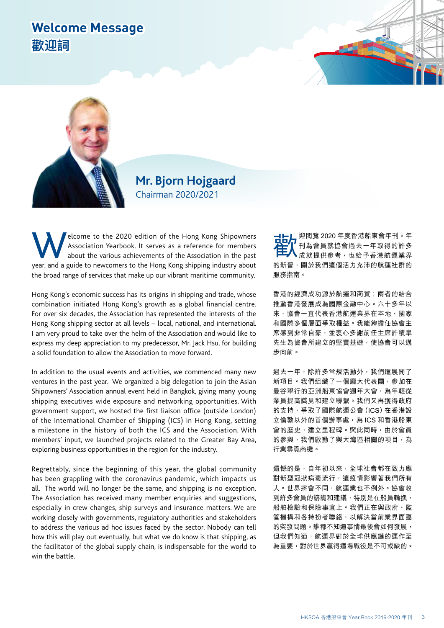## **Welcome Message 歡迎詞**



## **Mr. Bjorn Hojgaard** Chairman 2020/2021

Elcome to the 2020 edition of the Hong Kong Shipowners<br>Association Yearbook. It serves as a reference for members<br>about the various achievements of the Association in the past<br>vear and a guide to newcomers to the Hong Kong Association Yearbook. It serves as a reference for members about the various achievements of the Association in the past year, and a guide to newcomers to the Hong Kong shipping industry about the broad range of services that make up our vibrant maritime community.

Hong Kong's economic success has its origins in shipping and trade, whose combination initiated Hong Kong's growth as a global financial centre. For over six decades, the Association has represented the interests of the Hong Kong shipping sector at all levels – local, national, and international. I am very proud to take over the helm of the Association and would like to express my deep appreciation to my predecessor, Mr. Jack Hsu, for building a solid foundation to allow the Association to move forward.

In addition to the usual events and activities, we commenced many new ventures in the past year. We organized a big delegation to join the Asian Shipowners' Association annual event held in Bangkok, giving many young shipping executives wide exposure and networking opportunities. With government support, we hosted the first liaison office (outside London) of the International Chamber of Shipping (ICS) in Hong Kong, setting a milestone in the history of both the ICS and the Association. With members' input, we launched projects related to the Greater Bay Area, exploring business opportunities in the region for the industry.

Regrettably, since the beginning of this year, the global community has been grappling with the coronavirus pandemic, which impacts us all. The world will no longer be the same, and shipping is no exception. The Association has received many member enquiries and suggestions, especially in crew changes, ship surveys and insurance matters. We are working closely with governments, regulatory authorities and stakeholders to address the various ad hoc issues faced by the sector. Nobody can tell how this will play out eventually, but what we do know is that shipping, as the facilitator of the global supply chain, is indispensable for the world to win the battle.

歡迎閱覽 2020 年度香港船東會年刊。年 刊為會員就協會過去一年取得的許多 成就提供參考,也給予香港航運業界 的新晉,關於我們這個活力充沛的航運社群的 服務指南。

香港的經濟成功源於航運和商貿;兩者的結合 推動香港發展成為國際金融中心。六十多年以 來,協會一直代表香港航運業界在本地、國家 和國際多個層面爭取權益。我能夠擔任協會主 席感到非常自豪,並衷心多謝前任主席許積皐 先生為協會所建立的堅實基礎,使協會可以邁 步向前。

過去一年,除許多常規活動外,我們還展開了 新項目。我們組織了一個龐大代表團,參加在 曼谷舉行的亞洲船東協會週年大會,為年輕從 業員提高識見和建立聯繫。我們又再獲得政府 的支持,爭取了國際航運公會(ICS)在香港設 立倫敦以外的首個辦事處,為ICS 和香港船東 會的歷史,建立里程碑。與此同時,由於會員 的參與,我們啟動了與大灣區相關的項目,為 行業尋覓商機。

遺憾的是,自年初以來,全球社會都在致力應 對新型冠狀病毒流行,這疫情影響著我們所有 人。世界將會不同,航運業也不例外。協會收 到許多會員的諮詢和建議,特別是在船員輪換、 船舶檢驗和保險事宜上。我們正在與政府、監 管機構和各持扮者聯絡,以解決當前業界面臨 的突發問題。誰都不知道事情最後會如何發展, 但我們知道,航運界對於全球供應鏈的運作至 為重要,對於世界贏得這場戰役是不可或缺的。